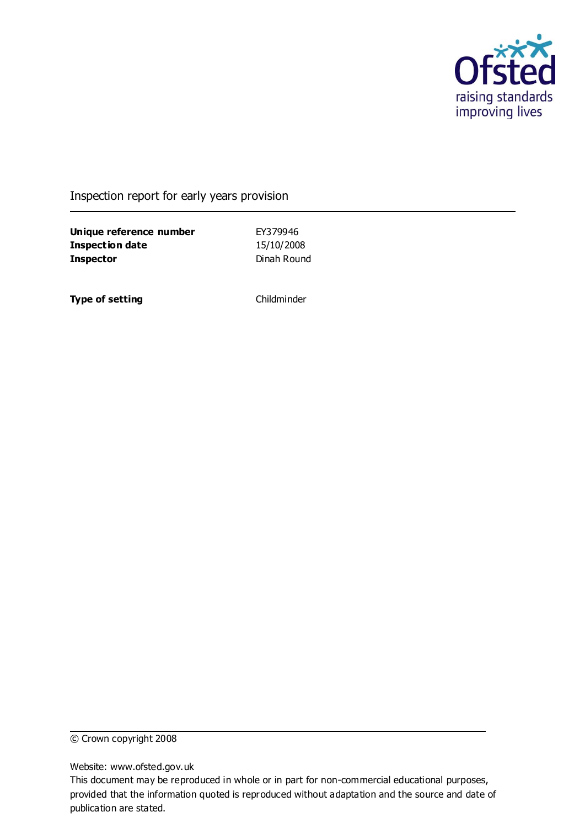

### Inspection report for early years provision

**Unique reference number** EY379946 **Inspection date** 15/10/2008 **Inspector** Dinah Round

**Type of setting** Childminder

© Crown copyright 2008

Website: www.ofsted.gov.uk

This document may be reproduced in whole or in part for non-commercial educational purposes, provided that the information quoted is reproduced without adaptation and the source and date of publication are stated.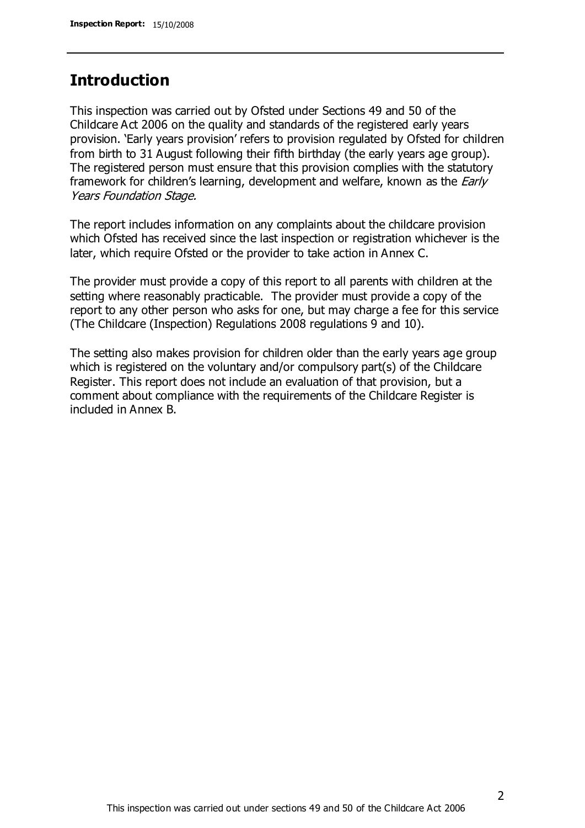## **Introduction**

This inspection was carried out by Ofsted under Sections 49 and 50 of the Childcare Act 2006 on the quality and standards of the registered early years provision. 'Early years provision' refers to provision regulated by Ofsted for children from birth to 31 August following their fifth birthday (the early years age group). The registered person must ensure that this provision complies with the statutory framework for children's learning, development and welfare, known as the *Early* Years Foundation Stage.

The report includes information on any complaints about the childcare provision which Ofsted has received since the last inspection or registration whichever is the later, which require Ofsted or the provider to take action in Annex C.

The provider must provide a copy of this report to all parents with children at the setting where reasonably practicable. The provider must provide a copy of the report to any other person who asks for one, but may charge a fee for this service (The Childcare (Inspection) Regulations 2008 regulations 9 and 10).

The setting also makes provision for children older than the early years age group which is registered on the voluntary and/or compulsory part(s) of the Childcare Register. This report does not include an evaluation of that provision, but a comment about compliance with the requirements of the Childcare Register is included in Annex B.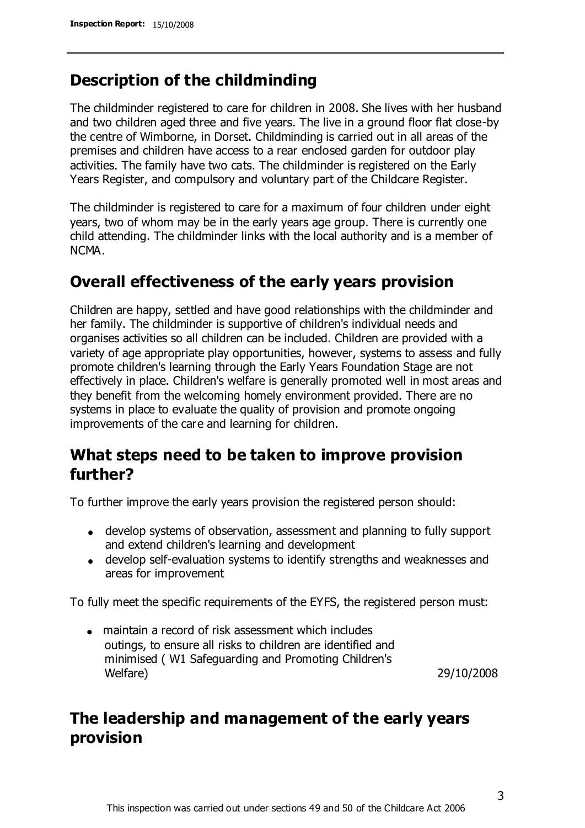# **Description of the childminding**

The childminder registered to care for children in 2008. She lives with her husband and two children aged three and five years. The live in a ground floor flat close-by the centre of Wimborne, in Dorset. Childminding is carried out in all areas of the premises and children have access to a rear enclosed garden for outdoor play activities. The family have two cats. The childminder is registered on the Early Years Register, and compulsory and voluntary part of the Childcare Register.

The childminder is registered to care for a maximum of four children under eight years, two of whom may be in the early years age group. There is currently one child attending. The childminder links with the local authority and is a member of NCMA.

# **Overall effectiveness of the early years provision**

Children are happy, settled and have good relationships with the childminder and her family. The childminder is supportive of children's individual needs and organises activities so all children can be included. Children are provided with a variety of age appropriate play opportunities, however, systems to assess and fully promote children's learning through the Early Years Foundation Stage are not effectively in place. Children's welfare is generally promoted well in most areas and they benefit from the welcoming homely environment provided. There are no systems in place to evaluate the quality of provision and promote ongoing improvements of the care and learning for children.

# **What steps need to be taken to improve provision further?**

To further improve the early years provision the registered person should:

- develop systems of observation, assessment and planning to fully support and extend children's learning and development
- develop self-evaluation systems to identify strengths and weaknesses and areas for improvement

To fully meet the specific requirements of the EYFS, the registered person must:

maintain a record of risk assessment which includes outings, to ensure all risks to children are identified and minimised ( W1 Safeguarding and Promoting Children's Welfare) 29/10/2008

# **The leadership and management of the early years provision**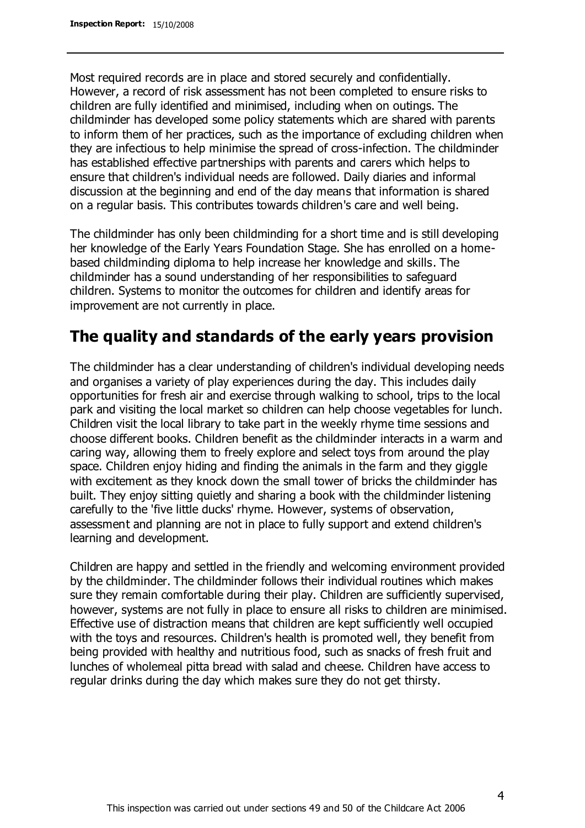Most required records are in place and stored securely and confidentially. However, a record of risk assessment has not been completed to ensure risks to children are fully identified and minimised, including when on outings. The childminder has developed some policy statements which are shared with parents to inform them of her practices, such as the importance of excluding children when they are infectious to help minimise the spread of cross-infection. The childminder has established effective partnerships with parents and carers which helps to ensure that children's individual needs are followed. Daily diaries and informal discussion at the beginning and end of the day means that information is shared on a regular basis. This contributes towards children's care and well being.

The childminder has only been childminding for a short time and is still developing her knowledge of the Early Years Foundation Stage. She has enrolled on a homebased childminding diploma to help increase her knowledge and skills. The childminder has a sound understanding of her responsibilities to safeguard children. Systems to monitor the outcomes for children and identify areas for improvement are not currently in place.

# **The quality and standards of the early years provision**

The childminder has a clear understanding of children's individual developing needs and organises a variety of play experiences during the day. This includes daily opportunities for fresh air and exercise through walking to school, trips to the local park and visiting the local market so children can help choose vegetables for lunch. Children visit the local library to take part in the weekly rhyme time sessions and choose different books. Children benefit as the childminder interacts in a warm and caring way, allowing them to freely explore and select toys from around the play space. Children enjoy hiding and finding the animals in the farm and they giggle with excitement as they knock down the small tower of bricks the childminder has built. They enjoy sitting quietly and sharing a book with the childminder listening carefully to the 'five little ducks' rhyme. However, systems of observation, assessment and planning are not in place to fully support and extend children's learning and development.

Children are happy and settled in the friendly and welcoming environment provided by the childminder. The childminder follows their individual routines which makes sure they remain comfortable during their play. Children are sufficiently supervised, however, systems are not fully in place to ensure all risks to children are minimised. Effective use of distraction means that children are kept sufficiently well occupied with the toys and resources. Children's health is promoted well, they benefit from being provided with healthy and nutritious food, such as snacks of fresh fruit and lunches of wholemeal pitta bread with salad and cheese. Children have access to regular drinks during the day which makes sure they do not get thirsty.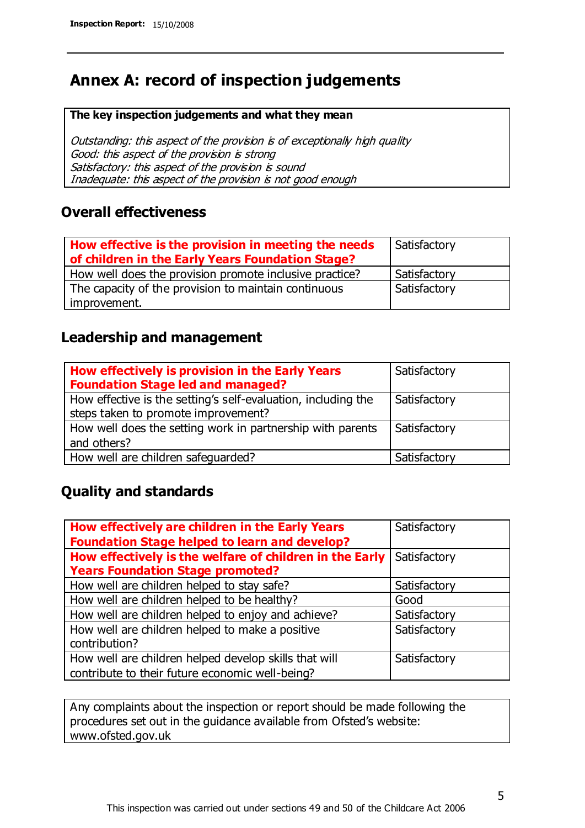# **Annex A: record of inspection judgements**

#### **The key inspection judgements and what they mean**

Outstanding: this aspect of the provision is of exceptionally high quality Good: this aspect of the provision is strong Satisfactory: this aspect of the provision is sound Inadequate: this aspect of the provision is not good enough

### **Overall effectiveness**

| How effective is the provision in meeting the needs<br>of children in the Early Years Foundation Stage? | Satisfactory |
|---------------------------------------------------------------------------------------------------------|--------------|
| How well does the provision promote inclusive practice?                                                 | Satisfactory |
| The capacity of the provision to maintain continuous                                                    | Satisfactory |
| improvement.                                                                                            |              |

### **Leadership and management**

| How effectively is provision in the Early Years<br><b>Foundation Stage led and managed?</b>          | Satisfactory |
|------------------------------------------------------------------------------------------------------|--------------|
| How effective is the setting's self-evaluation, including the<br>steps taken to promote improvement? | Satisfactory |
| How well does the setting work in partnership with parents<br>and others?                            | Satisfactory |
| How well are children safeguarded?                                                                   | Satisfactory |

## **Quality and standards**

| How effectively are children in the Early Years         | Satisfactory |
|---------------------------------------------------------|--------------|
| <b>Foundation Stage helped to learn and develop?</b>    |              |
| How effectively is the welfare of children in the Early | Satisfactory |
| <b>Years Foundation Stage promoted?</b>                 |              |
| How well are children helped to stay safe?              | Satisfactory |
| How well are children helped to be healthy?             | Good         |
| How well are children helped to enjoy and achieve?      | Satisfactory |
| How well are children helped to make a positive         | Satisfactory |
| contribution?                                           |              |
| How well are children helped develop skills that will   | Satisfactory |
| contribute to their future economic well-being?         |              |

Any complaints about the inspection or report should be made following the procedures set out in the guidance available from Ofsted's website: www.ofsted.gov.uk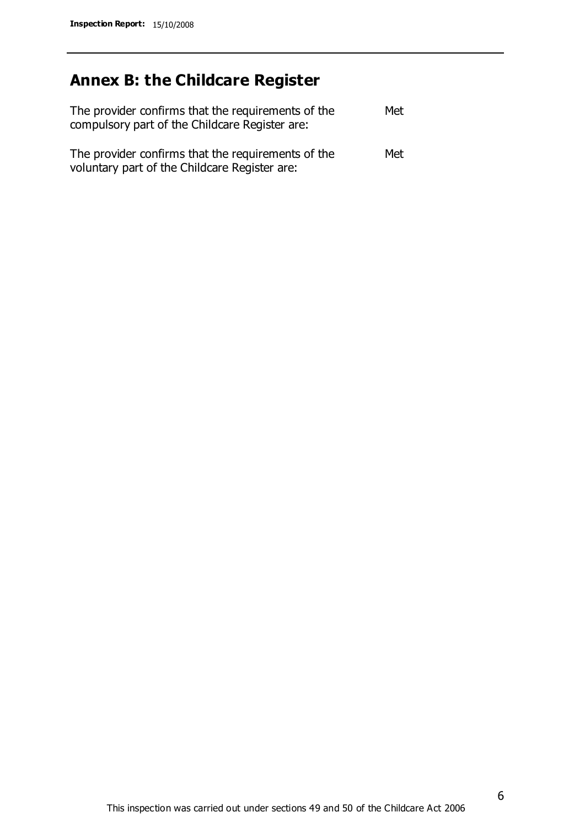# **Annex B: the Childcare Register**

| The provider confirms that the requirements of the<br>compulsory part of the Childcare Register are: | Met |
|------------------------------------------------------------------------------------------------------|-----|
| The provider confirms that the requirements of the<br>voluntary part of the Childcare Register are:  | Met |